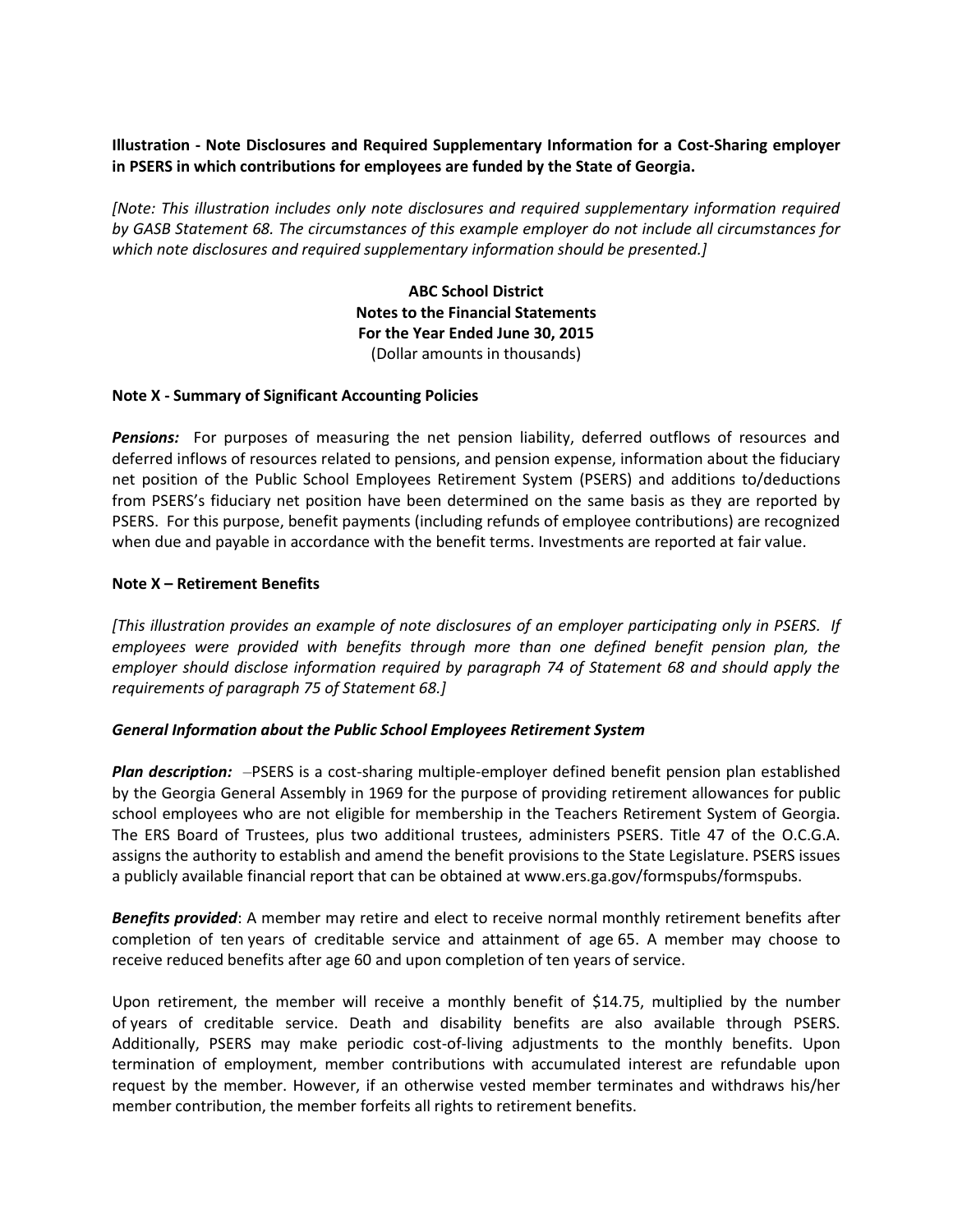# **Illustration - Note Disclosures and Required Supplementary Information for a Cost-Sharing employer in PSERS in which contributions for employees are funded by the State of Georgia.**

*[Note: This illustration includes only note disclosures and required supplementary information required by GASB Statement 68. The circumstances of this example employer do not include all circumstances for which note disclosures and required supplementary information should be presented.]*

> **ABC School District Notes to the Financial Statements For the Year Ended June 30, 2015** (Dollar amounts in thousands)

## **Note X - Summary of Significant Accounting Policies**

*Pensions:* For purposes of measuring the net pension liability, deferred outflows of resources and deferred inflows of resources related to pensions, and pension expense, information about the fiduciary net position of the Public School Employees Retirement System (PSERS) and additions to/deductions from PSERS's fiduciary net position have been determined on the same basis as they are reported by PSERS. For this purpose, benefit payments (including refunds of employee contributions) are recognized when due and payable in accordance with the benefit terms. Investments are reported at fair value.

## **Note X – Retirement Benefits**

*[This illustration provides an example of note disclosures of an employer participating only in PSERS. If employees were provided with benefits through more than one defined benefit pension plan, the employer should disclose information required by paragraph 74 of Statement 68 and should apply the requirements of paragraph 75 of Statement 68.]*

#### *General Information about the Public School Employees Retirement System*

*Plan description:* –PSERS is a cost-sharing multiple-employer defined benefit pension plan established by the Georgia General Assembly in 1969 for the purpose of providing retirement allowances for public school employees who are not eligible for membership in the Teachers Retirement System of Georgia. The ERS Board of Trustees, plus two additional trustees, administers PSERS. Title 47 of the O.C.G.A. assigns the authority to establish and amend the benefit provisions to the State Legislature. PSERS issues a publicly available financial report that can be obtained at www.ers.ga.gov/formspubs/formspubs.

*Benefits provided*: A member may retire and elect to receive normal monthly retirement benefits after completion of ten years of creditable service and attainment of age 65. A member may choose to receive reduced benefits after age 60 and upon completion of ten years of service.

Upon retirement, the member will receive a monthly benefit of \$14.75, multiplied by the number of years of creditable service. Death and disability benefits are also available through PSERS. Additionally, PSERS may make periodic cost-of-living adjustments to the monthly benefits. Upon termination of employment, member contributions with accumulated interest are refundable upon request by the member. However, if an otherwise vested member terminates and withdraws his/her member contribution, the member forfeits all rights to retirement benefits.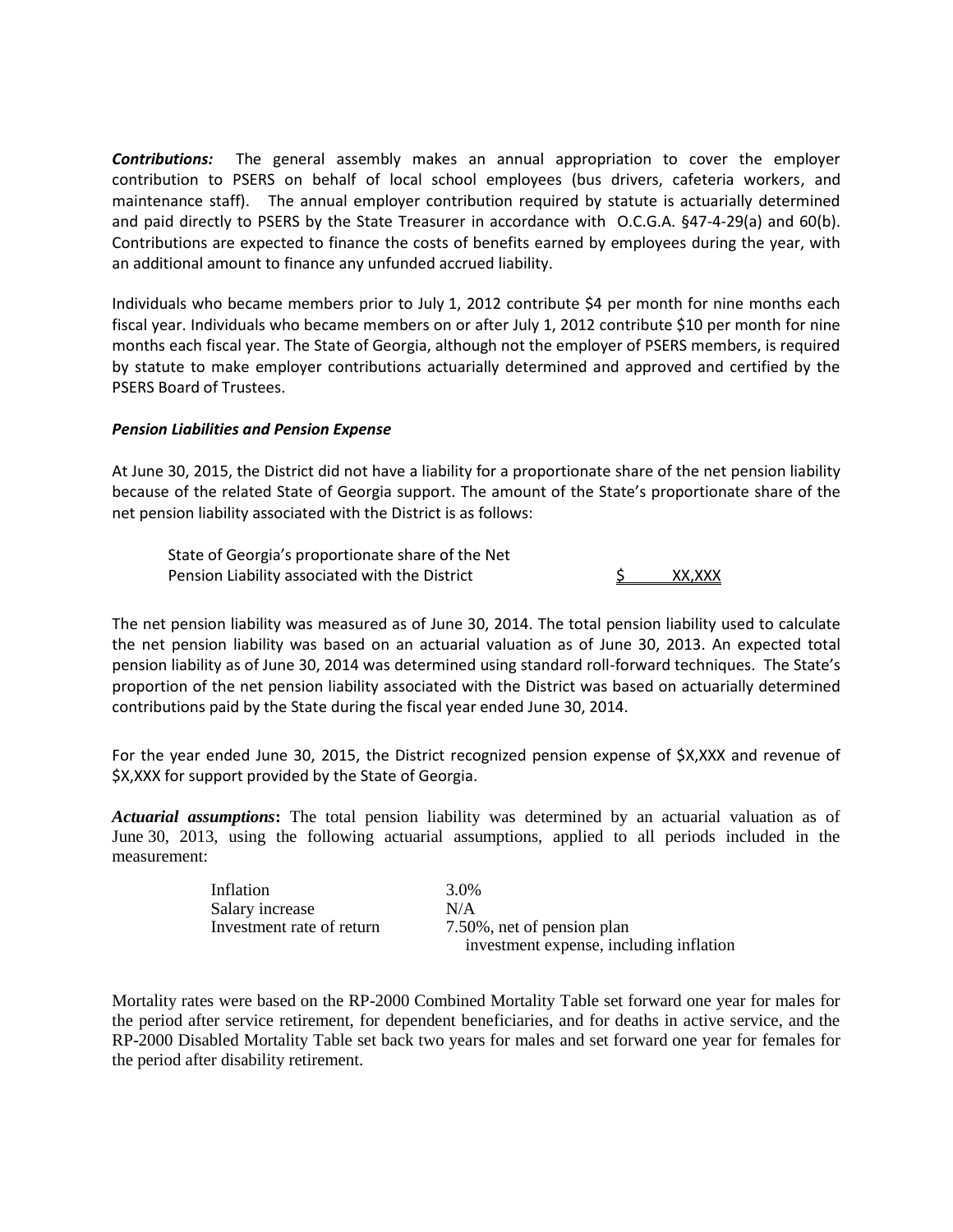*Contributions:* The general assembly makes an annual appropriation to cover the employer contribution to PSERS on behalf of local school employees (bus drivers, cafeteria workers, and maintenance staff). The annual employer contribution required by statute is actuarially determined and paid directly to PSERS by the State Treasurer in accordance with O.C.G.A. §47-4-29(a) and 60(b). Contributions are expected to finance the costs of benefits earned by employees during the year, with an additional amount to finance any unfunded accrued liability.

Individuals who became members prior to July 1, 2012 contribute \$4 per month for nine months each fiscal year. Individuals who became members on or after July 1, 2012 contribute \$10 per month for nine months each fiscal year. The State of Georgia, although not the employer of PSERS members, is required by statute to make employer contributions actuarially determined and approved and certified by the PSERS Board of Trustees.

## *Pension Liabilities and Pension Expense*

At June 30, 2015, the District did not have a liability for a proportionate share of the net pension liability because of the related State of Georgia support. The amount of the State's proportionate share of the net pension liability associated with the District is as follows:

State of Georgia's proportionate share of the Net Pension Liability associated with the District Theory A. A., S. S. A., XXX

The net pension liability was measured as of June 30, 2014. The total pension liability used to calculate the net pension liability was based on an actuarial valuation as of June 30, 2013. An expected total pension liability as of June 30, 2014 was determined using standard roll-forward techniques. The State's proportion of the net pension liability associated with the District was based on actuarially determined contributions paid by the State during the fiscal year ended June 30, 2014.

For the year ended June 30, 2015, the District recognized pension expense of \$X,XXX and revenue of \$X,XXX for support provided by the State of Georgia.

*Actuarial assumptions***:** The total pension liability was determined by an actuarial valuation as of June 30, 2013, using the following actuarial assumptions, applied to all periods included in the measurement:

| Inflation                 | 3.0%                                    |
|---------------------------|-----------------------------------------|
| Salary increase           | N/A                                     |
| Investment rate of return | 7.50%, net of pension plan              |
|                           | investment expense, including inflation |

Mortality rates were based on the RP-2000 Combined Mortality Table set forward one year for males for the period after service retirement, for dependent beneficiaries, and for deaths in active service, and the RP-2000 Disabled Mortality Table set back two years for males and set forward one year for females for the period after disability retirement.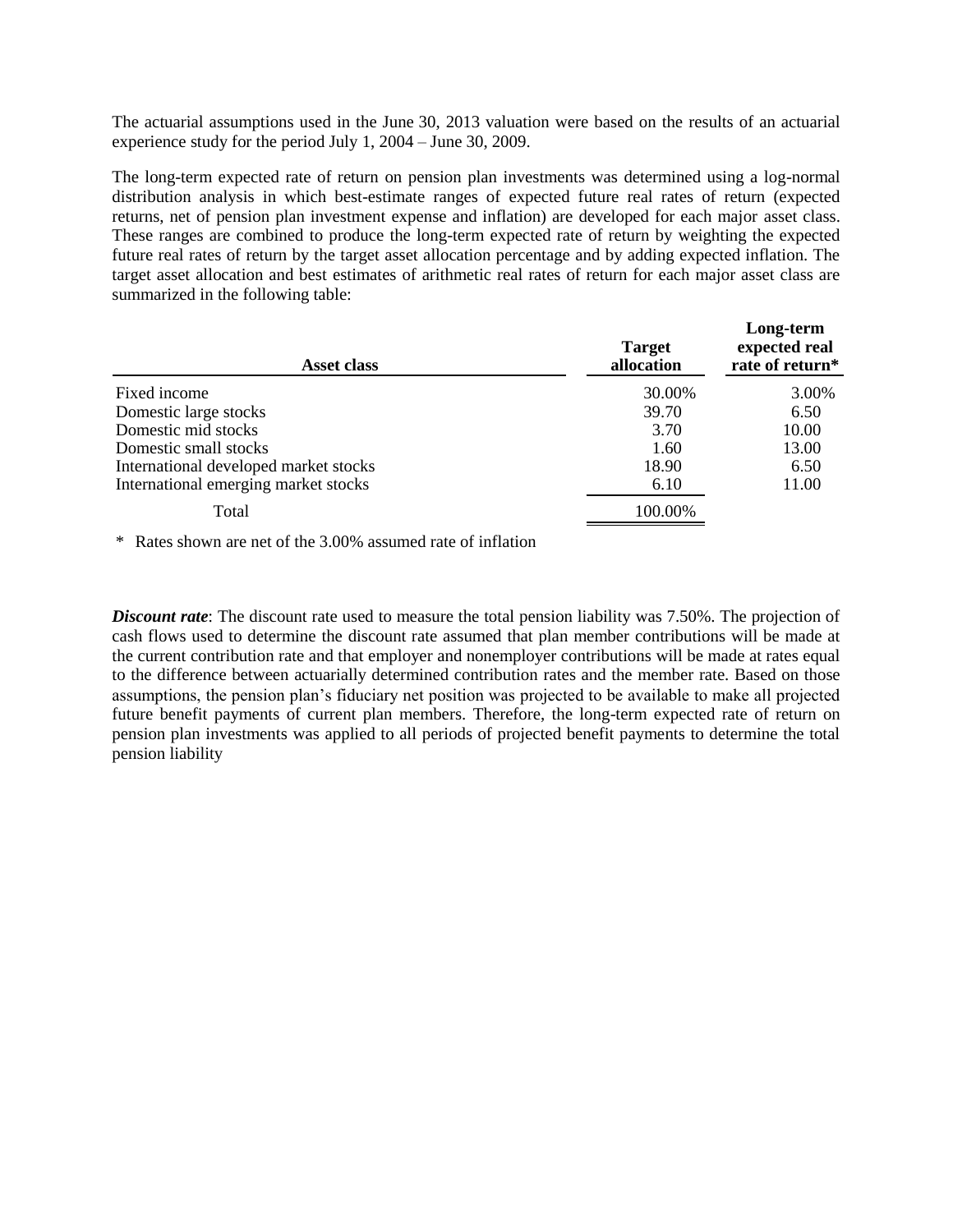The actuarial assumptions used in the June 30, 2013 valuation were based on the results of an actuarial experience study for the period July 1, 2004 – June 30, 2009.

The long-term expected rate of return on pension plan investments was determined using a log-normal distribution analysis in which best-estimate ranges of expected future real rates of return (expected returns, net of pension plan investment expense and inflation) are developed for each major asset class. These ranges are combined to produce the long-term expected rate of return by weighting the expected future real rates of return by the target asset allocation percentage and by adding expected inflation. The target asset allocation and best estimates of arithmetic real rates of return for each major asset class are summarized in the following table:

**Long-term**

| Asset class                           | <b>Target</b><br>allocation | Long-term<br>expected real<br>rate of return* |  |
|---------------------------------------|-----------------------------|-----------------------------------------------|--|
| Fixed income                          | 30.00%                      | 3.00%                                         |  |
| Domestic large stocks                 | 39.70                       | 6.50                                          |  |
| Domestic mid stocks                   | 3.70                        | 10.00                                         |  |
| Domestic small stocks                 | 1.60                        | 13.00                                         |  |
| International developed market stocks | 18.90                       | 6.50                                          |  |
| International emerging market stocks  | 6.10                        | 11.00                                         |  |
| Total                                 | 100.00%                     |                                               |  |

\* Rates shown are net of the 3.00% assumed rate of inflation

*Discount rate*: The discount rate used to measure the total pension liability was 7.50%. The projection of cash flows used to determine the discount rate assumed that plan member contributions will be made at the current contribution rate and that employer and nonemployer contributions will be made at rates equal to the difference between actuarially determined contribution rates and the member rate. Based on those assumptions, the pension plan's fiduciary net position was projected to be available to make all projected future benefit payments of current plan members. Therefore, the long-term expected rate of return on pension plan investments was applied to all periods of projected benefit payments to determine the total pension liability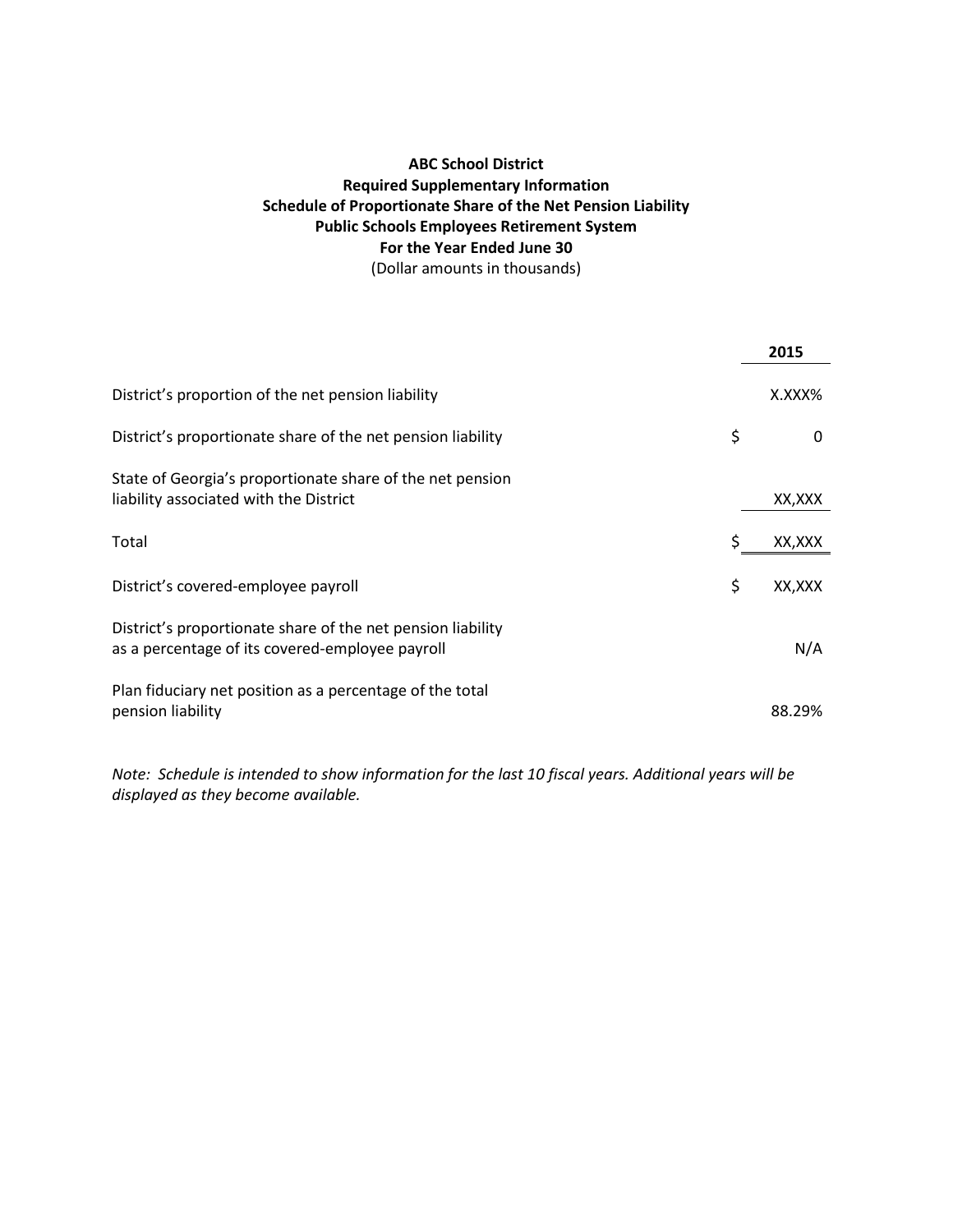# **ABC School District Required Supplementary Information Schedule of Proportionate Share of the Net Pension Liability Public Schools Employees Retirement System For the Year Ended June 30** (Dollar amounts in thousands)

|                                                                                                                | 2015         |
|----------------------------------------------------------------------------------------------------------------|--------------|
| District's proportion of the net pension liability                                                             | X.XXX%       |
| District's proportionate share of the net pension liability                                                    | \$<br>0      |
| State of Georgia's proportionate share of the net pension<br>liability associated with the District            | XX,XXX       |
| Total                                                                                                          | \$<br>XX,XXX |
| District's covered-employee payroll                                                                            | \$<br>XX,XXX |
| District's proportionate share of the net pension liability<br>as a percentage of its covered-employee payroll | N/A          |
| Plan fiduciary net position as a percentage of the total<br>pension liability                                  | 88.29%       |

*Note: Schedule is intended to show information for the last 10 fiscal years. Additional years will be displayed as they become available.*